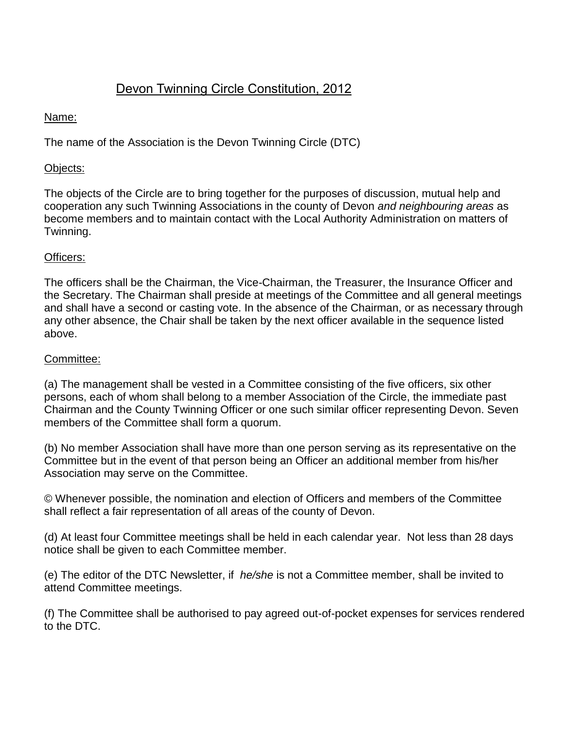# Devon Twinning Circle Constitution, 2012

# Name:

The name of the Association is the Devon Twinning Circle (DTC)

# Objects:

The objects of the Circle are to bring together for the purposes of discussion, mutual help and cooperation any such Twinning Associations in the county of Devon *and neighbouring areas* as become members and to maintain contact with the Local Authority Administration on matters of Twinning.

# Officers:

The officers shall be the Chairman, the Vice-Chairman, the Treasurer, the Insurance Officer and the Secretary. The Chairman shall preside at meetings of the Committee and all general meetings and shall have a second or casting vote. In the absence of the Chairman, or as necessary through any other absence, the Chair shall be taken by the next officer available in the sequence listed above.

# Committee:

(a) The management shall be vested in a Committee consisting of the five officers, six other persons, each of whom shall belong to a member Association of the Circle, the immediate past Chairman and the County Twinning Officer or one such similar officer representing Devon. Seven members of the Committee shall form a quorum.

(b) No member Association shall have more than one person serving as its representative on the Committee but in the event of that person being an Officer an additional member from his/her Association may serve on the Committee.

© Whenever possible, the nomination and election of Officers and members of the Committee shall reflect a fair representation of all areas of the county of Devon.

(d) At least four Committee meetings shall be held in each calendar year. Not less than 28 days notice shall be given to each Committee member.

(e) The editor of the DTC Newsletter, if *he/she* is not a Committee member, shall be invited to attend Committee meetings.

(f) The Committee shall be authorised to pay agreed out-of-pocket expenses for services rendered to the DTC.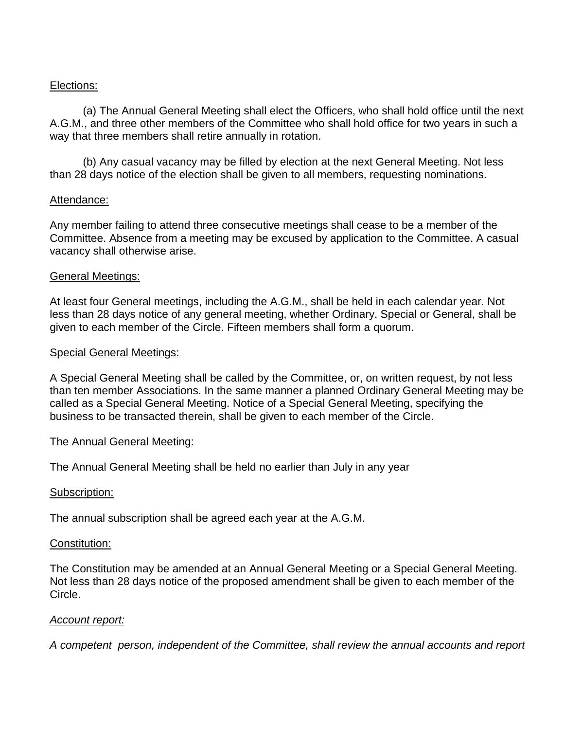# Elections:

(a) The Annual General Meeting shall elect the Officers, who shall hold office until the next A.G.M., and three other members of the Committee who shall hold office for two years in such a way that three members shall retire annually in rotation.

(b) Any casual vacancy may be filled by election at the next General Meeting. Not less than 28 days notice of the election shall be given to all members, requesting nominations.

#### Attendance:

Any member failing to attend three consecutive meetings shall cease to be a member of the Committee. Absence from a meeting may be excused by application to the Committee. A casual vacancy shall otherwise arise.

#### General Meetings:

At least four General meetings, including the A.G.M., shall be held in each calendar year. Not less than 28 days notice of any general meeting, whether Ordinary, Special or General, shall be given to each member of the Circle. Fifteen members shall form a quorum.

#### Special General Meetings:

A Special General Meeting shall be called by the Committee, or, on written request, by not less than ten member Associations. In the same manner a planned Ordinary General Meeting may be called as a Special General Meeting. Notice of a Special General Meeting, specifying the business to be transacted therein, shall be given to each member of the Circle.

#### The Annual General Meeting:

The Annual General Meeting shall be held no earlier than July in any year

#### Subscription:

The annual subscription shall be agreed each year at the A.G.M.

#### Constitution:

The Constitution may be amended at an Annual General Meeting or a Special General Meeting. Not less than 28 days notice of the proposed amendment shall be given to each member of the Circle.

#### *Account report:*

*A competent person, independent of the Committee, shall review the annual accounts and report*